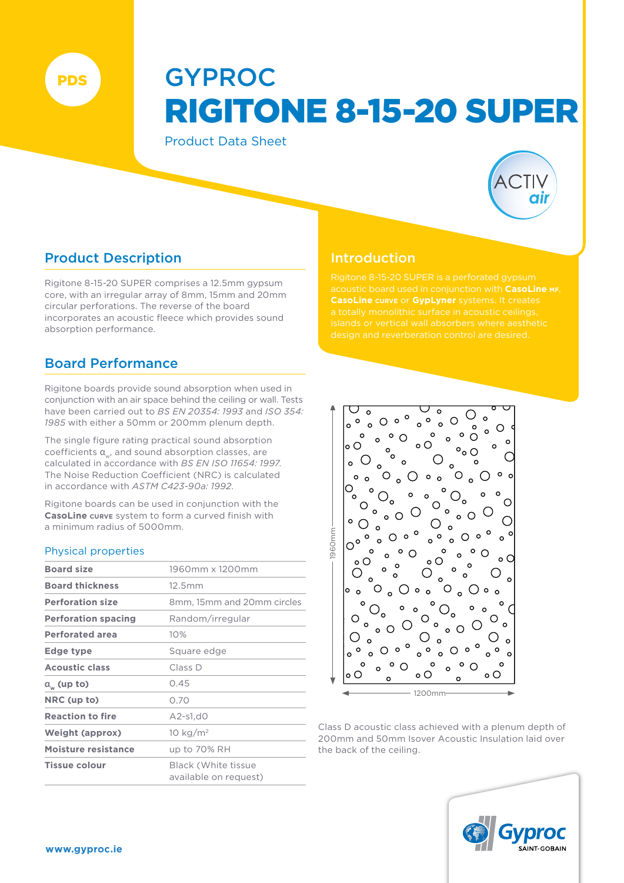PDS

# GYPROC RIGITONE 8-15-20 SUPER

Product Data Sheet



# Product Description

Rigitone 8-15-20 SUPER comprises a 12.5mm gypsum core, with an irregular array of 8mm, 15mm and 20mm circular perforations. The reverse of the board incorporates an acoustic fleece which provides sound absorption performance.

# Board Performance

Rigitone boards provide sound absorption when used in conjunction with an air space behind the ceiling or wall. Tests have been carried out to *BS EN 20354: 1993* and *ISO 354: 1985* with either a 50mm or 200mm plenum depth.

The single figure rating practical sound absorption coefficients  $a_{\omega}$ , and sound absorption classes, are calculated in accordance with *BS EN ISO 11654: 1997*. The Noise Reduction Coefficient (NRC) is calculated in accordance with *ASTM C423-90a: 1992*.

Rigitone boards can be used in conjunction with the **CasoLine curve** system to form a curved finish with a minimum radius of 5000mm.

## Physical properties

| <b>Board size</b>          | 1960mm x 1200mm                                     |  |  |  |  |  |
|----------------------------|-----------------------------------------------------|--|--|--|--|--|
| <b>Board thickness</b>     | 12.5mm                                              |  |  |  |  |  |
| <b>Perforation size</b>    | 8mm, 15mm and 20mm circles                          |  |  |  |  |  |
| <b>Perforation spacing</b> | Random/irregular                                    |  |  |  |  |  |
| <b>Perforated area</b>     | 10%                                                 |  |  |  |  |  |
| Edge type                  | Square edge                                         |  |  |  |  |  |
| <b>Acoustic class</b>      | Class D                                             |  |  |  |  |  |
| $a_{\omega}$ (up to)       | 0.45                                                |  |  |  |  |  |
| NRC (up to)                | 0.70                                                |  |  |  |  |  |
| <b>Reaction to fire</b>    | $A2-s1.d0$                                          |  |  |  |  |  |
| <b>Weight (approx)</b>     | 10 $kg/m2$                                          |  |  |  |  |  |
| Moisture resistance        | up to 70% RH                                        |  |  |  |  |  |
| <b>Tissue colour</b>       | <b>Black (White tissue</b><br>available on request) |  |  |  |  |  |

# Introduction



Class D acoustic class achieved with a plenum depth of 200mm and 50mm Isover Acoustic Insulation laid over the back of the ceiling.